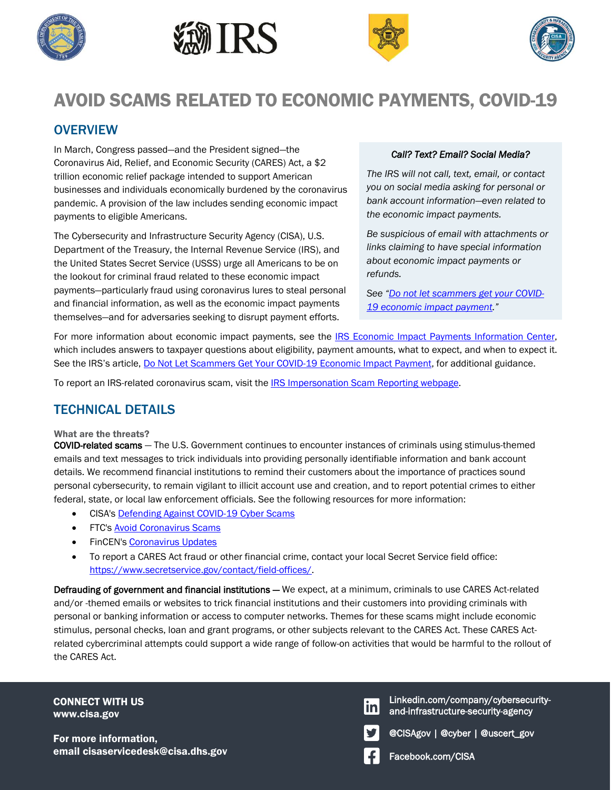







# AVOID SCAMS RELATED TO ECONOMIC PAYMENTS, COVID-19

## **OVERVIEW**

In March, Congress passed—and the President signed—the Coronavirus Aid, Relief, and Economic Security (CARES) Act, a \$2 trillion economic relief package intended to support American businesses and individuals economically burdened by the coronavirus pandemic. A provision of the law includes sending economic impact payments to eligible Americans.

The Cybersecurity and Infrastructure Security Agency (CISA), U.S. Department of the Treasury, the Internal Revenue Service (IRS), and the United States Secret Service (USSS) urge all Americans to be on the lookout for criminal fraud related to these economic impact payments—particularly fraud using coronavirus lures to steal personal and financial information, as well as the economic impact payments themselves—and for adversaries seeking to disrupt payment efforts.

### *Call? Text? Email? Social Media?*

*The IRS will not call, text, email, or contact you on social media asking for personal or bank account information*—*even related to the economic impact payments.* 

*Be suspicious of email with attachments or links claiming to have special information about economic impact payments or refunds.*

*See "[Do not let scammers get your COVID-](https://www.irs.gov/compliance/criminal-investigation/do-not-let-scammers-get-your-covid-19-economic-impact-payment)[19 economic impact payment](https://www.irs.gov/compliance/criminal-investigation/do-not-let-scammers-get-your-covid-19-economic-impact-payment)."*

For more information about economic impact payments, see the [IRS Economic Impact Payments Information Center,](https://www.irs.gov/coronavirus/economic-impact-payment-information-center) which includes answers to taxpayer questions about eligibility, payment amounts, what to expect, and when to expect it. See the IRS's article, Do Not [Let Scammers Get Your COVID-19 Economic Impact Payment,](https://www.irs.gov/compliance/criminal-investigation/do-not-let-scammers-get-your-covid-19-economic-impact-payment) for additional guidance.

To report an IRS-related coronavirus scam, visit the **IRS Impersonation Scam Reporting webpage**.

### TECHNICAL DETAILS

#### What are the threats?

COVID-related scams — The U.S. Government continues to encounter instances of criminals using stimulus-themed emails and text messages to trick individuals into providing personally identifiable information and bank account details. We recommend financial institutions to remind their customers about the importance of practices sound personal cybersecurity, to remain vigilant to illicit account use and creation, and to report potential crimes to either federal, state, or local law enforcement officials. See the following resources for more information:

- CISA's [Defending Against COVID-19 Cyber Scams](https://www.us-cert.gov/ncas/current-activity/2020/03/06/defending-against-covid-19-cyber-scams)
- FTC'[s Avoid Coronavirus Scams](https://www.consumer.ftc.gov/features/coronavirus-scams-what-ftc-doing)
- **FinCEN'[s Coronavirus Updates](https://www.fincen.gov/coronavirus)**
- To report a CARES Act fraud or other financial crime, contact your local Secret Service field office: [https://www.secretservice.gov/contact/field-offices/.](https://www.secretservice.gov/contact/field-offices/)

Defrauding of government and financial institutions — We expect, at a minimum, criminals to use CARES Act-related and/or -themed emails or websites to trick financial institutions and their customers into providing criminals with personal or banking information or access to computer networks. Themes for these scams might include economic stimulus, personal checks, loan and grant programs, or other subjects relevant to the CARES Act. These CARES Actrelated cybercriminal attempts could support a wide range of follow-on activities that would be harmful to the rollout of the CARES Act.

CONNECT WITH US www.cisa.gov

For more information, email cisaservicedesk@cisa.dhs.gov email cisaservicedesk@cisa.dhs.gov

Linkedin.com/company/cybersecuritylinl and-infrastructure-security-agency

@CISAgov | @cyber | @uscert\_gov

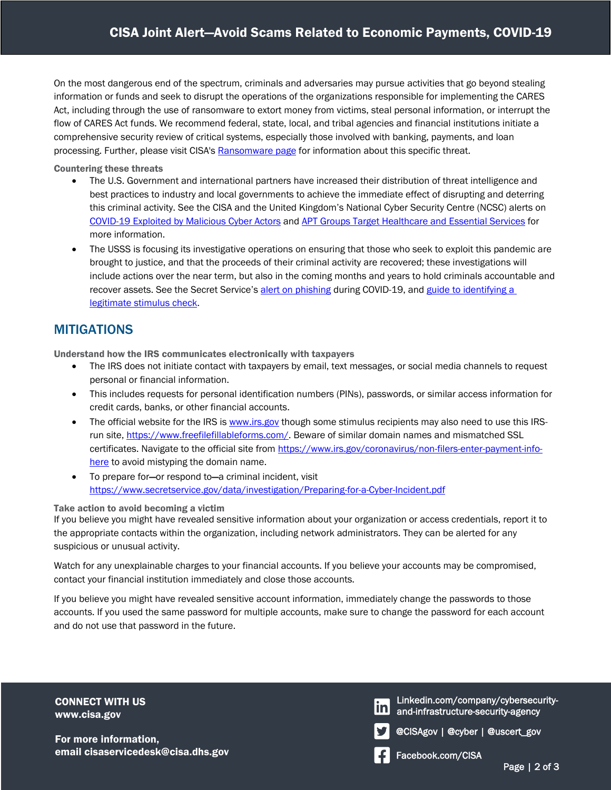On the most dangerous end of the spectrum, criminals and adversaries may pursue activities that go beyond stealing information or funds and seek to disrupt the operations of the organizations responsible for implementing the CARES Act, including through the use of ransomware to extort money from victims, steal personal information, or interrupt the flow of CARES Act funds. We recommend federal, state, local, and tribal agencies and financial institutions initiate a comprehensive security review of critical systems, especially those involved with banking, payments, and loan processing. Further, please visit CISA's [Ransomware page](https://www.us-cert.gov/Ransomware) for information about this specific threat.

Countering these threats

- The U.S. Government and international partners have increased their distribution of threat intelligence and best practices to industry and local governments to achieve the immediate effect of disrupting and deterring this criminal activity. See the CISA and the United Kingdom's National Cyber Security Centre (NCSC) alerts on [COVID-19 Exploited by Malicious Cyber Actors](https://www.us-cert.gov/ncas/alerts/aa20-099a) an[d APT Groups Target Healthcare and Essential Services](https://www.us-cert.gov/ncas/alerts/AA20126A) for more information.
- The USSS is focusing its investigative operations on ensuring that those who seek to exploit this pandemic are brought to justice, and that the proceeds of their criminal activity are recovered; these investigations will include actions over the near term, but also in the coming months and years to hold criminals accountable and recover assets. See the Secret Service's [alert on phishing](https://www.secretservice.gov/data/press/releases/2020/20-MAR/Secret_Service_Coronavirus_Phishing_Alert.pdf) during COVID-19, an[d guide to identifying a](https://www.secretservice.gov/data/press/releases/2020/20-APR/Check-Security-Features-for-Economic-Impact-Payments.pdf)  [legitimate stimulus check.](https://www.secretservice.gov/data/press/releases/2020/20-APR/Check-Security-Features-for-Economic-Impact-Payments.pdf)

### **MITIGATIONS**

Understand how the IRS communicates electronically with taxpayers

- The IRS does not initiate contact with taxpayers by email, text messages, or social media channels to request personal or financial information.
- This includes requests for personal identification numbers (PINs), passwords, or similar access information for credit cards, banks, or other financial accounts.
- The official website for the IRS is [www.irs.gov](http://www.irs.gov/) though some stimulus recipients may also need to use this IRSrun site. [https://www.freefilefillableforms.com/.](https://www.freefilefillableforms.com/) Beware of similar domain names and mismatched SSL certificates. Navigate to the official site fro[m https://www.irs.gov/coronavirus/non-filers-enter-payment-info](https://www.irs.gov/coronavirus/non-filers-enter-payment-info-here)[here](https://www.irs.gov/coronavirus/non-filers-enter-payment-info-here) to avoid mistyping the domain name.
- To prepare for—or respond to—a criminal incident, visit <https://www.secretservice.gov/data/investigation/Preparing-for-a-Cyber-Incident.pdf>

#### Take action to avoid becoming a victim

If you believe you might have revealed sensitive information about your organization or access credentials, report it to the appropriate contacts within the organization, including network administrators. They can be alerted for any suspicious or unusual activity.

Watch for any unexplainable charges to your financial accounts. If you believe your accounts may be compromised, contact your financial institution immediately and close those accounts.

If you believe you might have revealed sensitive account information, immediately change the passwords to those accounts. If you used the same password for multiple accounts, make sure to change the password for each account and do not use that password in the future.

CONNECT WITH US www.cisa.gov

For more information, email cisaservicedesk@cisa.dhs.gov email cisaservicedesk@cisa.dhs.gov

Linkedin.com/company/cybersecurityand-infrastructure-security-agency

@CISAgov | @cyber | @uscert\_gov